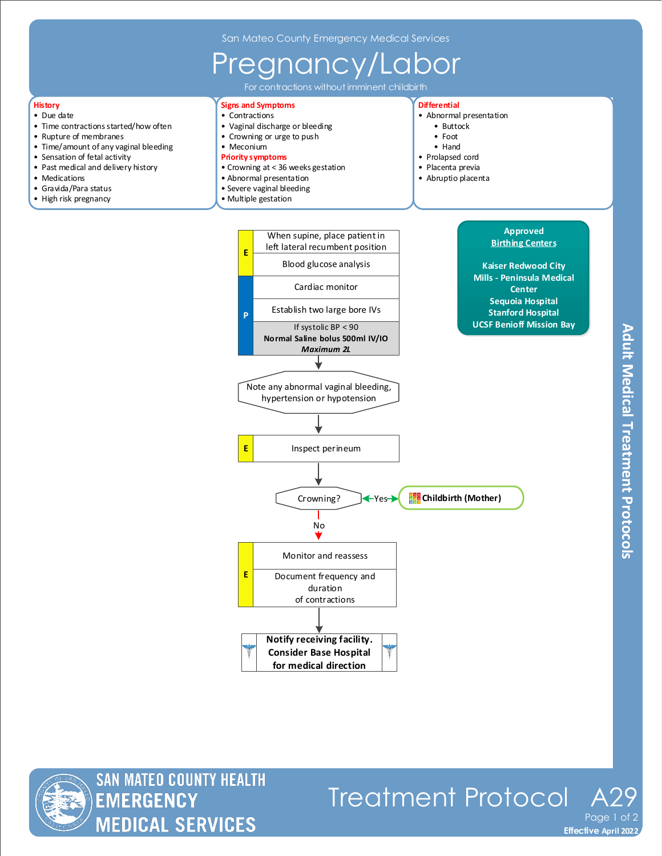## Pregnancy/Labor

For contractions without imminent childbirth

## **History**

- Due date
- Time contractions started/how often
- Rupture of membranes
- Time/amount of any vaginal bleeding
- Sensation of fetal activity
- Past medical and delivery history
- Medications
- Gravida/Para status
- High risk pregnancy

**Signs and Symptoms** • Contractions

- 
- Vaginal discharge or bleeding • Crowning or urge to push
- Meconium
- **Priority symptoms**
- Crowning at < 36 weeks gestation
- Abnormal presentation
- 
- 
- Severe vaginal bleeding
- Multiple gestation

## **Differential**

- Abnormal presentation
	- Buttock
	- Foot
	- Hand
- Prolapsed cord
- Placenta previa
- Abruptio placenta
- Note any abnormal vaginal bleeding, hypertension or hypotension No **Notify receiving facility. Consider Base Hospital for medical direction E** Inspect perineum **E** Monitor and reassess Document frequency and duration of contractions **E** When supine, place patient in left lateral recumbent position Cardiac monitor Establish two large bore IVs If systolic BP < 90 **Normal Saline bolus 500ml IV/IO** *Maximum 2L* **P** Blood glucose analysis Crowning? **Yes / Childbirth (Mother) Approved Birthing Centers Kaiser Redwood City Mills - Peninsula Medical Center Sequoia Hospital Stanford Hospital UCSF Benioff Mission Bay**



Treatment Protocol